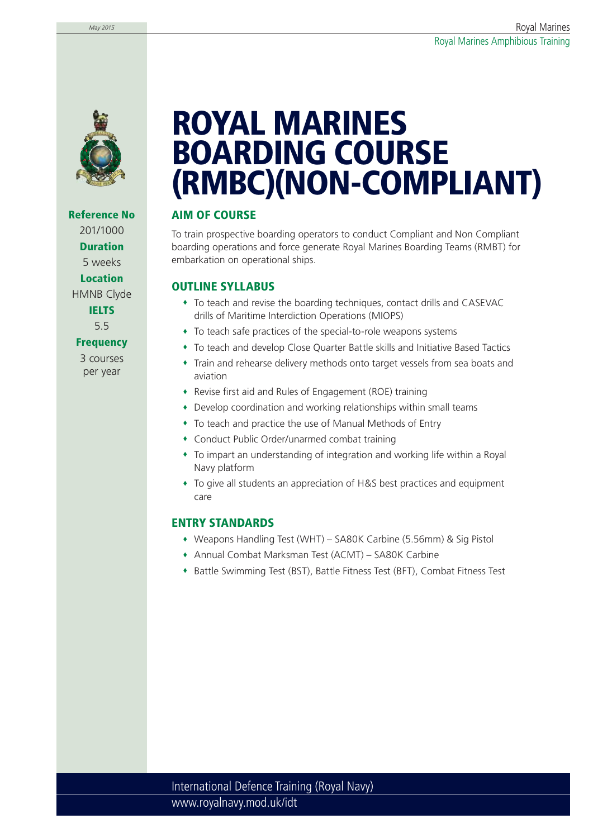

**Reference No** 201/1000 **Duration** 5 weeks **Location** HMNB Clyde **IELTS** 5.5 **Frequency**

> 3 courses per year

# **ROYAL MARINES BOARDING COURSE (RMBC)(NON-COMPLIANT)**

## **AIM OF COURSE**

To train prospective boarding operators to conduct Compliant and Non Compliant boarding operations and force generate Royal Marines Boarding Teams (RMBT) for embarkation on operational ships.

## **OUTLINE SYLLABUS**

- To teach and revise the boarding techniques, contact drills and CASEVAC drills of Maritime Interdiction Operations (MIOPS)
- To teach safe practices of the special-to-role weapons systems
- To teach and develop Close Quarter Battle skills and Initiative Based Tactics
- Train and rehearse delivery methods onto target vessels from sea boats and aviation
- Revise first aid and Rules of Engagement (ROE) training
- Develop coordination and working relationships within small teams
- To teach and practice the use of Manual Methods of Entry
- Conduct Public Order/unarmed combat training
- To impart an understanding of integration and working life within a Royal Navy platform
- To give all students an appreciation of H&S best practices and equipment care

### **ENTRY STANDARDS**

- Weapons Handling Test (WHT) SA80K Carbine (5.56mm) & Sig Pistol
- Annual Combat Marksman Test (ACMT) SA80K Carbine
- Battle Swimming Test (BST), Battle Fitness Test (BFT), Combat Fitness Test